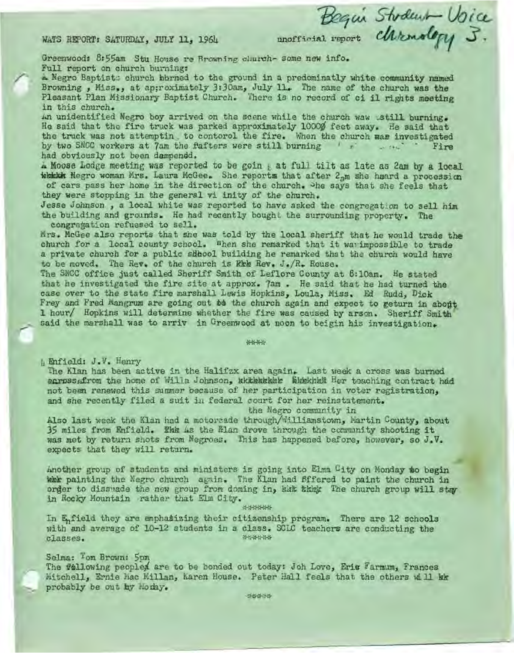WATS REPORT: SATURDAY, JULY 11, 1964

Bequi Stodent Voice

Greenwood: 8:55am Stu House re Browning church- some new info. Full report on church burning:

A Negro Baptists church burned to the ground in a predominatly white community named Browning, Miss., at approximately 3:30am, July 11. The name of the church was the Pleasant Plan Missionary Baptist Church. There is no record of ci il rights meeting in this church.

An unidentified Negro boy arrived on the scene while the church waw ustill burning. He said that the fire truck was parked approximately 10000 feet away. He said that the truck was not attemptin, to contorol the fire. When the church was investigated by two SNCC workers at 7am the fafters were still burning for the set Fire had obviously not been dampened.

A Moose Lodge meeting was reported to be goin g at full tilt as late as 2am by a local which Negro woman Mrs. Laura McGee. She reports that after 2<sub>3</sub>m she heard a procession of cars pass her home in the direction of the church. The says that she feels that they were stopping in the general vi inity of the church.

Jesse Johnson, a local white was reported to have asked the congregation to sell him the building and grounds. He had recently bought the surrounding property. The congregation refuesed to sell.

Mrs. McGee also reports that she was told by the local sheriff that he would trade the church for a local county school. When she remarked that it wa impossible to trade a private church for a public shbool building he remarked that the church would have to be moved. The Rev. of the church is Rkk Rev. J. R. Rouse.

The SNCC office just called Sheriff Smith of Leflore County at 6:10am. He stated that he investigated the fire site at approx. 7am. He said that he had turned the case over to the state fire marshall Lewis Hopkins, Loula, Miss. Ed Rudd, Dick Frey and Fred Mangrum are going out be the church again and expect to geturn in about 1 hour/ Hopkins will determine whether the fire was caused by arson. Sheriff Smith said the marshall was to arriv in Greenwood at noon to beigin his investigation.

## \*\*\*\*

h Enfield: J.V. Henry

The Klan has been active in the Halifzx area again. Last week a cross was burned scross from the home of Willa Johnson, akkeakake highha Her teaching contract had not been renewed this summer because of her participation in voter registration. and she recently filed a suit in federal court for her reinstatement.

the Negro community in

Also last week the Klan had a motorcade through/Williamstown, Martin County, about 35 miles from Enfield. This is the Mian drove through the community shooting it was met by return shots from Negroes. This has happened bafore, however, so J.V. expects that they will return.

Another group of students and ministers is going into Elma City on Monday to begin whe painting the Negro church again. The Klan had Sffered to paint the church in order to dissuade the new group from doming in, but their The church group will stay in Rocky Mountain rather that Elm City.

\*\*\*\*\*\*

In E<sub>n</sub>field they are emphatizing their citizenship program. There are 12 schools with and average of 10-12 students in a class. SCLC teachers are conducting the \*\*\*\*\*\* classes.

## Selma: Tom Brown: 5pm

The fullowing peopled are to be bonded out today: Joh Love, Eric Farmim, Frances Mitchell, Ernie Mac Millan, Karen House. Peter Hall feels that the others will kk probably be out my Moday.